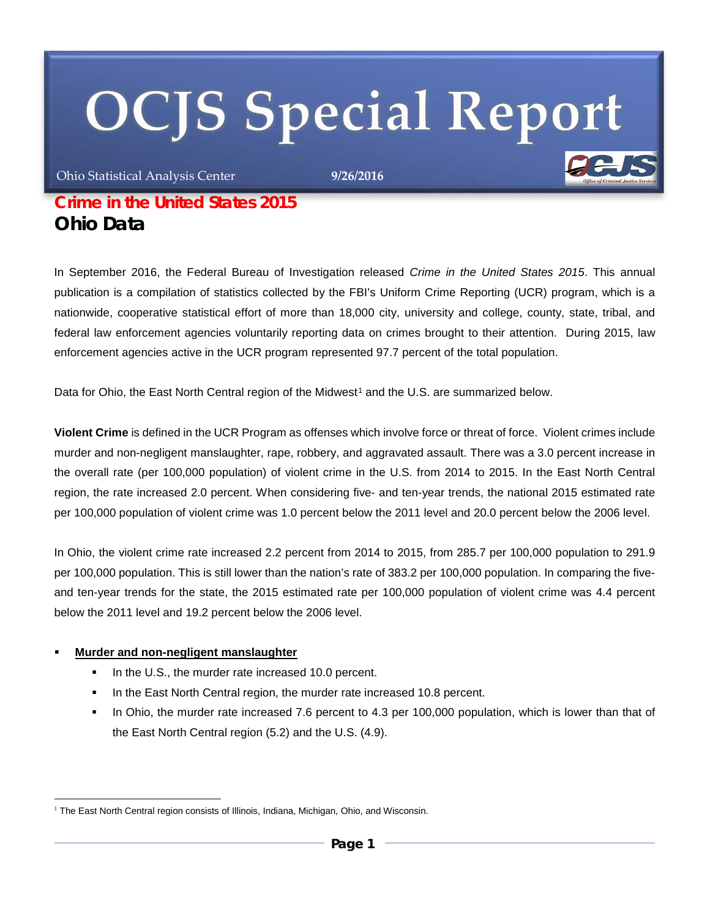# **OCJS Special Report**

Ohio Statistical Analysis Center **9/26/2016**

# *Crime in the United States 2015 Ohio Data*

In September 2016, the Federal Bureau of Investigation released *Crime in the United States 2015*. This annual publication is a compilation of statistics collected by the FBI's Uniform Crime Reporting (UCR) program, which is a nationwide, cooperative statistical effort of more than 18,000 city, university and college, county, state, tribal, and federal law enforcement agencies voluntarily reporting data on crimes brought to their attention. During 2015, law enforcement agencies active in the UCR program represented 97.7 percent of the total population.

Data for Ohio, the East North Central region of the Midwest<sup>[1](#page-0-0)</sup> and the U.S. are summarized below.

**Violent Crime** is defined in the UCR Program as offenses which involve force or threat of force. Violent crimes include murder and non-negligent manslaughter, rape, robbery, and aggravated assault. There was a 3.0 percent increase in the overall rate (per 100,000 population) of violent crime in the U.S. from 2014 to 2015. In the East North Central region, the rate increased 2.0 percent. When considering five- and ten-year trends, the national 2015 estimated rate per 100,000 population of violent crime was 1.0 percent below the 2011 level and 20.0 percent below the 2006 level.

In Ohio, the violent crime rate increased 2.2 percent from 2014 to 2015, from 285.7 per 100,000 population to 291.9 per 100,000 population. This is still lower than the nation's rate of 383.2 per 100,000 population. In comparing the fiveand ten-year trends for the state, the 2015 estimated rate per 100,000 population of violent crime was 4.4 percent below the 2011 level and 19.2 percent below the 2006 level.

#### **Murder and non-negligent manslaughter**

- In the U.S., the murder rate increased 10.0 percent.
- In the East North Central region, the murder rate increased 10.8 percent.
- In Ohio, the murder rate increased 7.6 percent to 4.3 per 100,000 population, which is lower than that of the East North Central region (5.2) and the U.S. (4.9).

<span id="page-0-0"></span><sup>&</sup>lt;u>.</u> <sup>1</sup> The East North Central region consists of Illinois, Indiana, Michigan, Ohio, and Wisconsin.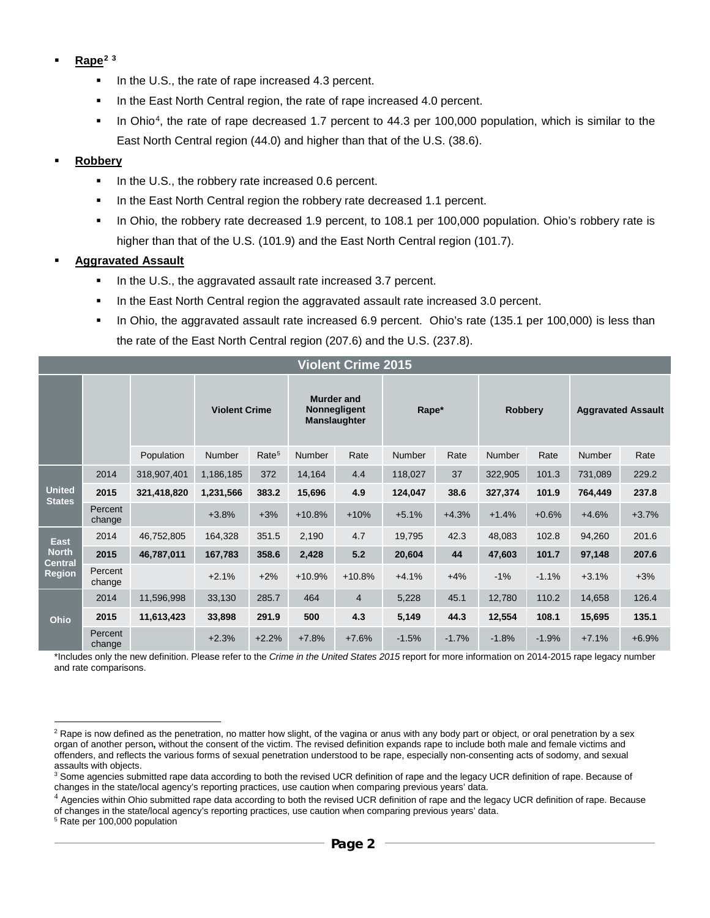- **Rape[2](#page-1-0) [3](#page-1-1)**
	- In the U.S., the rate of rape increased 4.3 percent.
	- In the East North Central region, the rate of rape increased 4.0 percent.
	- In Ohio<sup>4</sup>, the rate of rape decreased 1.7 percent to 44.3 per 100,000 population, which is similar to the East North Central region (44.0) and higher than that of the U.S. (38.6).

#### **Robbery**

- In the U.S., the robbery rate increased 0.6 percent.
- In the East North Central region the robbery rate decreased 1.1 percent.
- In Ohio, the robbery rate decreased 1.9 percent, to 108.1 per 100,000 population. Ohio's robbery rate is higher than that of the U.S. (101.9) and the East North Central region (101.7).

#### **Aggravated Assault**

- In the U.S., the aggravated assault rate increased 3.7 percent.
- In the East North Central region the aggravated assault rate increased 3.0 percent.
- In Ohio, the aggravated assault rate increased 6.9 percent. Ohio's rate (135.1 per 100,000) is less than the rate of the East North Central region (207.6) and the U.S. (237.8).

| <b>Violent Crime 2015</b>                                      |                   |             |                      |                   |                                                                 |                |               |         |                |         |                           |         |
|----------------------------------------------------------------|-------------------|-------------|----------------------|-------------------|-----------------------------------------------------------------|----------------|---------------|---------|----------------|---------|---------------------------|---------|
|                                                                |                   |             | <b>Violent Crime</b> |                   | <b>Murder and</b><br><b>Nonnegligent</b><br><b>Manslaughter</b> |                | Rape*         |         | <b>Robbery</b> |         | <b>Aggravated Assault</b> |         |
|                                                                |                   | Population  | <b>Number</b>        | Rate <sup>5</sup> | Number                                                          | Rate           | <b>Number</b> | Rate    | <b>Number</b>  | Rate    | <b>Number</b>             | Rate    |
| <b>United</b><br><b>States</b>                                 | 2014              | 318,907,401 | 1,186,185            | 372               | 14,164                                                          | 4.4            | 118,027       | 37      | 322,905        | 101.3   | 731,089                   | 229.2   |
|                                                                | 2015              | 321,418,820 | 1,231,566            | 383.2             | 15,696                                                          | 4.9            | 124,047       | 38.6    | 327,374        | 101.9   | 764,449                   | 237.8   |
|                                                                | Percent<br>change |             | $+3.8%$              | $+3%$             | $+10.8%$                                                        | $+10%$         | $+5.1%$       | $+4.3%$ | $+1.4%$        | $+0.6%$ | $+4.6%$                   | $+3.7%$ |
| <b>East</b><br><b>North</b><br><b>Central</b><br><b>Region</b> | 2014              | 46,752,805  | 164,328              | 351.5             | 2,190                                                           | 4.7            | 19,795        | 42.3    | 48,083         | 102.8   | 94,260                    | 201.6   |
|                                                                | 2015              | 46,787,011  | 167,783              | 358.6             | 2,428                                                           | 5.2            | 20,604        | 44      | 47,603         | 101.7   | 97,148                    | 207.6   |
|                                                                | Percent<br>change |             | $+2.1%$              | $+2%$             | $+10.9%$                                                        | $+10.8%$       | $+4.1%$       | $+4%$   | $-1%$          | $-1.1%$ | $+3.1%$                   | $+3%$   |
| Ohio                                                           | 2014              | 11,596,998  | 33,130               | 285.7             | 464                                                             | $\overline{4}$ | 5,228         | 45.1    | 12,780         | 110.2   | 14,658                    | 126.4   |
|                                                                | 2015              | 11,613,423  | 33,898               | 291.9             | 500                                                             | 4.3            | 5,149         | 44.3    | 12,554         | 108.1   | 15,695                    | 135.1   |
|                                                                | Percent<br>change |             | $+2.3%$              | $+2.2%$           | $+7.8%$                                                         | $+7.6%$        | $-1.5%$       | $-1.7%$ | $-1.8%$        | $-1.9%$ | $+7.1%$                   | $+6.9%$ |

\*Includes only the new definition. Please refer to the *Crime in the United States 2015* report for more information on 2014-2015 rape legacy number and rate comparisons.

<span id="page-1-3"></span><sup>5</sup> Rate per 100,000 population

<u>.</u>

<span id="page-1-0"></span><sup>&</sup>lt;sup>2</sup> Rape is now defined as the penetration, no matter how slight, of the vagina or anus with any body part or object, or oral penetration by a sex organ of another person**,** without the consent of the victim. The revised definition expands rape to include both male and female victims and offenders, and reflects the various forms of sexual penetration understood to be rape, especially non-consenting acts of sodomy, and sexual assaults with objects.

<span id="page-1-1"></span><sup>&</sup>lt;sup>3</sup> Some agencies submitted rape data according to both the revised UCR definition of rape and the legacy UCR definition of rape. Because of changes in the state/local agency's reporting practices, use caution when comparing previous years' data.

<span id="page-1-2"></span><sup>&</sup>lt;sup>4</sup> Agencies within Ohio submitted rape data according to both the revised UCR definition of rape and the legacy UCR definition of rape. Because of changes in the state/local agency's reporting practices, use caution when comparing previous years' data.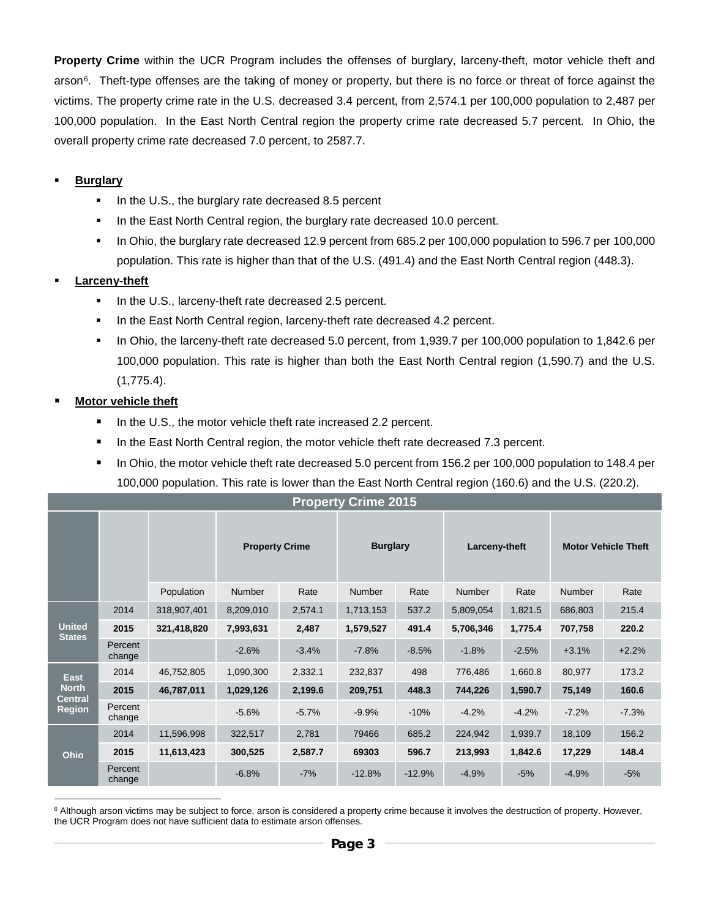**Property Crime** within the UCR Program includes the offenses of burglary, larceny-theft, motor vehicle theft and arson<sup>6</sup>. Theft-type offenses are the taking of money or property, but there is no force or threat of force against the victims. The property crime rate in the U.S. decreased 3.4 percent, from 2,574.1 per 100,000 population to 2,487 per 100,000 population. In the East North Central region the property crime rate decreased 5.7 percent. In Ohio, the overall property crime rate decreased 7.0 percent, to 2587.7.

### **Burglary**

- $\blacksquare$  In the U.S., the burglary rate decreased 8.5 percent
- In the East North Central region, the burglary rate decreased 10.0 percent.
- In Ohio, the burglary rate decreased 12.9 percent from 685.2 per 100,000 population to 596.7 per 100,000 population. This rate is higher than that of the U.S. (491.4) and the East North Central region (448.3).

## **Larceny-theft**

- In the U.S., larceny-theft rate decreased 2.5 percent.
- In the East North Central region, larceny-theft rate decreased 4.2 percent.
- In Ohio, the larceny-theft rate decreased 5.0 percent, from 1,939.7 per 100,000 population to 1,842.6 per 100,000 population. This rate is higher than both the East North Central region (1,590.7) and the U.S. (1,775.4).

## **Motor vehicle theft**

- In the U.S., the motor vehicle theft rate increased 2.2 percent.
- In the East North Central region, the motor vehicle theft rate decreased 7.3 percent.
- In Ohio, the motor vehicle theft rate decreased 5.0 percent from 156.2 per 100,000 population to 148.4 per 100,000 population. This rate is lower than the East North Central region (160.6) and the U.S. (220.2).

| <b>Property Crime 2015</b>                                     |                   |             |                       |         |                 |          |               |         |                            |         |
|----------------------------------------------------------------|-------------------|-------------|-----------------------|---------|-----------------|----------|---------------|---------|----------------------------|---------|
|                                                                |                   |             | <b>Property Crime</b> |         | <b>Burglary</b> |          | Larceny-theft |         | <b>Motor Vehicle Theft</b> |         |
|                                                                |                   | Population  | <b>Number</b>         | Rate    | <b>Number</b>   | Rate     | <b>Number</b> | Rate    | <b>Number</b>              | Rate    |
| <b>United</b><br><b>States</b>                                 | 2014              | 318,907,401 | 8,209,010             | 2,574.1 | 1,713,153       | 537.2    | 5,809,054     | 1,821.5 | 686,803                    | 215.4   |
|                                                                | 2015              | 321,418,820 | 7,993,631             | 2,487   | 1,579,527       | 491.4    | 5,706,346     | 1,775.4 | 707,758                    | 220.2   |
|                                                                | Percent<br>change |             | $-2.6%$               | $-3.4%$ | $-7.8%$         | $-8.5%$  | $-1.8%$       | $-2.5%$ | $+3.1%$                    | $+2.2%$ |
| <b>East</b><br><b>North</b><br><b>Central</b><br><b>Region</b> | 2014              | 46,752,805  | 1,090,300             | 2,332.1 | 232,837         | 498      | 776,486       | 1,660.8 | 80,977                     | 173.2   |
|                                                                | 2015              | 46,787,011  | 1,029,126             | 2,199.6 | 209,751         | 448.3    | 744,226       | 1,590.7 | 75,149                     | 160.6   |
|                                                                | Percent<br>change |             | $-5.6%$               | $-5.7%$ | $-9.9%$         | $-10%$   | $-4.2%$       | $-4.2%$ | $-7.2%$                    | $-7.3%$ |
| <b>Ohio</b>                                                    | 2014              | 11,596,998  | 322,517               | 2,781   | 79466           | 685.2    | 224,942       | 1,939.7 | 18,109                     | 156.2   |
|                                                                | 2015              | 11,613,423  | 300,525               | 2,587.7 | 69303           | 596.7    | 213,993       | 1,842.6 | 17,229                     | 148.4   |
|                                                                | Percent<br>change |             | $-6.8%$               | $-7%$   | $-12.8%$        | $-12.9%$ | $-4.9%$       | $-5%$   | $-4.9%$                    | $-5%$   |

<span id="page-2-0"></span><u>.</u> <sup>6</sup> Although arson victims may be subject to force, arson is considered a property crime because it involves the destruction of property. However, the UCR Program does not have sufficient data to estimate arson offenses.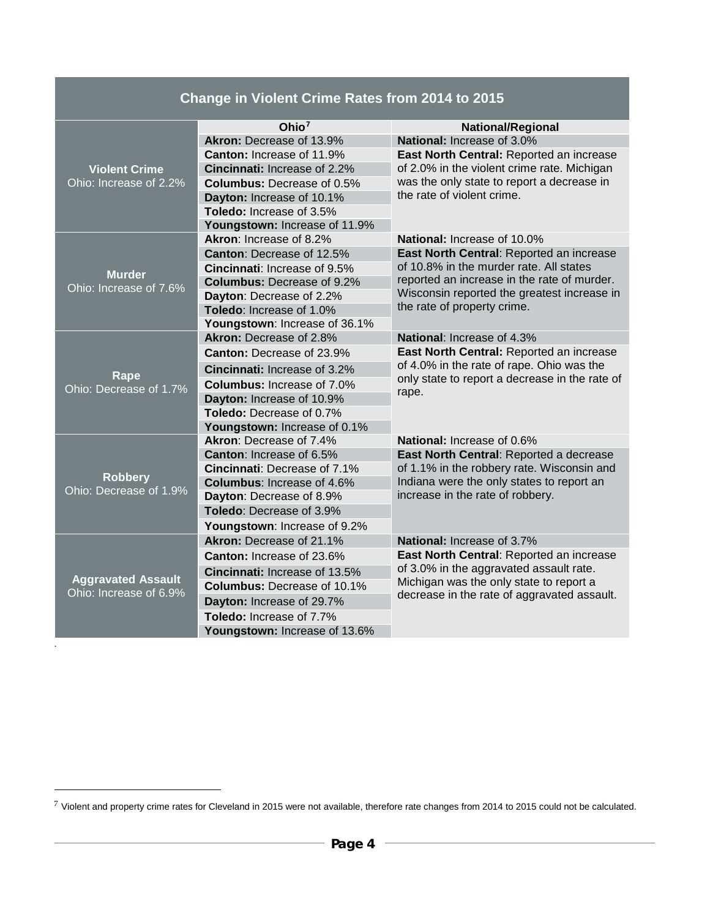|                           | Change in Violent Crime Rates from 2014 to 2015 |                                                                                                                                |  |  |  |
|---------------------------|-------------------------------------------------|--------------------------------------------------------------------------------------------------------------------------------|--|--|--|
|                           | Ohio $7$                                        | <b>National/Regional</b>                                                                                                       |  |  |  |
|                           | Akron: Decrease of 13.9%                        | National: Increase of 3.0%                                                                                                     |  |  |  |
|                           | Canton: Increase of 11.9%                       | East North Central: Reported an increase<br>of 2.0% in the violent crime rate. Michigan                                        |  |  |  |
| <b>Violent Crime</b>      | <b>Cincinnati:</b> Increase of 2.2%             |                                                                                                                                |  |  |  |
| Ohio: Increase of 2.2%    | <b>Columbus: Decrease of 0.5%</b>               | was the only state to report a decrease in                                                                                     |  |  |  |
|                           | Dayton: Increase of 10.1%                       | the rate of violent crime.                                                                                                     |  |  |  |
|                           | Toledo: Increase of 3.5%                        |                                                                                                                                |  |  |  |
|                           | Youngstown: Increase of 11.9%                   |                                                                                                                                |  |  |  |
|                           | Akron: Increase of 8.2%                         | <b>National: Increase of 10.0%</b>                                                                                             |  |  |  |
|                           | Canton: Decrease of 12.5%                       | East North Central: Reported an increase                                                                                       |  |  |  |
| <b>Murder</b>             | <b>Cincinnati:</b> Increase of 9.5%             | of 10.8% in the murder rate. All states                                                                                        |  |  |  |
| Ohio: Increase of 7.6%    | <b>Columbus: Decrease of 9.2%</b>               | reported an increase in the rate of murder.                                                                                    |  |  |  |
|                           | Dayton: Decrease of 2.2%                        | Wisconsin reported the greatest increase in                                                                                    |  |  |  |
|                           | Toledo: Increase of 1.0%                        | the rate of property crime.                                                                                                    |  |  |  |
|                           | Youngstown: Increase of 36.1%                   |                                                                                                                                |  |  |  |
|                           | Akron: Decrease of 2.8%                         | <b>National: Increase of 4.3%</b>                                                                                              |  |  |  |
|                           | Canton: Decrease of 23.9%                       | East North Central: Reported an increase                                                                                       |  |  |  |
| Rape                      | <b>Cincinnati:</b> Increase of 3.2%             | of 4.0% in the rate of rape. Ohio was the<br>only state to report a decrease in the rate of                                    |  |  |  |
| Ohio: Decrease of 1.7%    | <b>Columbus: Increase of 7.0%</b><br>rape.      |                                                                                                                                |  |  |  |
|                           | Dayton: Increase of 10.9%                       |                                                                                                                                |  |  |  |
|                           | Toledo: Decrease of 0.7%                        |                                                                                                                                |  |  |  |
|                           | Youngstown: Increase of 0.1%                    |                                                                                                                                |  |  |  |
|                           | Akron: Decrease of 7.4%                         | National: Increase of 0.6%                                                                                                     |  |  |  |
|                           | Canton: Increase of 6.5%                        | East North Central: Reported a decrease<br>of 1.1% in the robbery rate. Wisconsin and                                          |  |  |  |
| <b>Robbery</b>            | Cincinnati: Decrease of 7.1%                    |                                                                                                                                |  |  |  |
| Ohio: Decrease of 1.9%    | <b>Columbus: Increase of 4.6%</b>               | Indiana were the only states to report an<br>increase in the rate of robbery.                                                  |  |  |  |
|                           | Dayton: Decrease of 8.9%                        |                                                                                                                                |  |  |  |
|                           | <b>Toledo:</b> Decrease of 3.9%                 |                                                                                                                                |  |  |  |
|                           | Youngstown: Increase of 9.2%                    |                                                                                                                                |  |  |  |
|                           | Akron: Decrease of 21.1%                        | National: Increase of 3.7%                                                                                                     |  |  |  |
|                           | <b>Canton: Increase of 23.6%</b>                | East North Central: Reported an increase<br>of 3.0% in the aggravated assault rate.<br>Michigan was the only state to report a |  |  |  |
| <b>Aggravated Assault</b> | Cincinnati: Increase of 13.5%                   |                                                                                                                                |  |  |  |
| Ohio: Increase of 6.9%    | <b>Columbus: Decrease of 10.1%</b>              |                                                                                                                                |  |  |  |
|                           | Dayton: Increase of 29.7%                       | decrease in the rate of aggravated assault.                                                                                    |  |  |  |
|                           | Toledo: Increase of 7.7%                        |                                                                                                                                |  |  |  |
|                           | Youngstown: Increase of 13.6%                   |                                                                                                                                |  |  |  |

.

-

<span id="page-3-0"></span> $7$  Violent and property crime rates for Cleveland in 2015 were not available, therefore rate changes from 2014 to 2015 could not be calculated.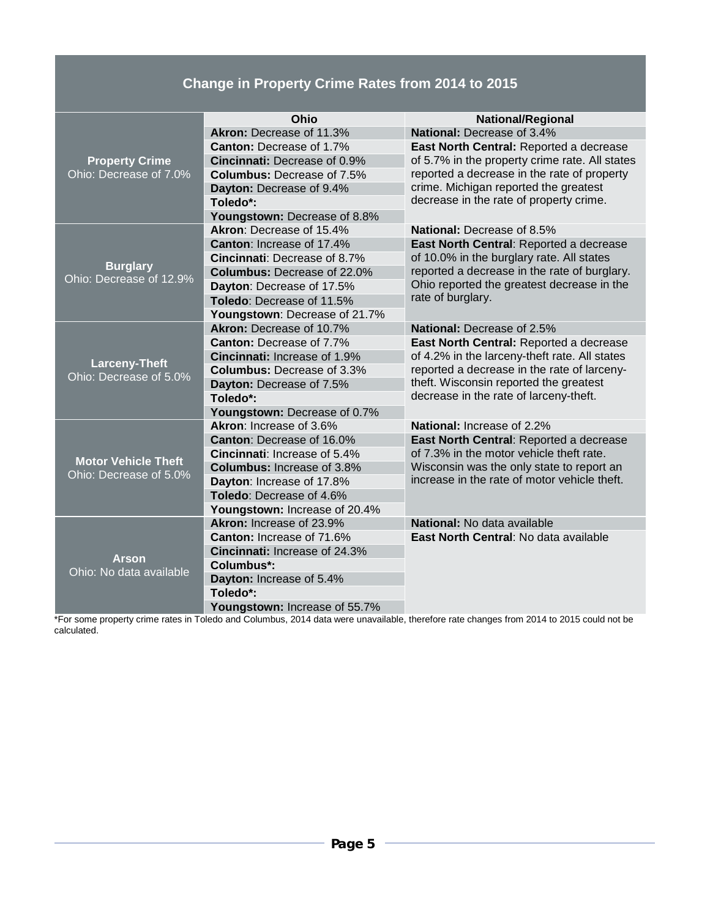# **Change in Property Crime Rates from 2014 to 2015**

|                                                | Ohio                                | <b>National/Regional</b>                                                                                                                |  |  |  |
|------------------------------------------------|-------------------------------------|-----------------------------------------------------------------------------------------------------------------------------------------|--|--|--|
|                                                | Akron: Decrease of 11.3%            | National: Decrease of 3.4%                                                                                                              |  |  |  |
|                                                | <b>Canton:</b> Decrease of 1.7%     | East North Central: Reported a decrease                                                                                                 |  |  |  |
| <b>Property Crime</b>                          | <b>Cincinnati: Decrease of 0.9%</b> | of 5.7% in the property crime rate. All states<br>reported a decrease in the rate of property<br>crime. Michigan reported the greatest  |  |  |  |
| Ohio: Decrease of 7.0%                         | <b>Columbus:</b> Decrease of 7.5%   |                                                                                                                                         |  |  |  |
|                                                | Dayton: Decrease of 9.4%            |                                                                                                                                         |  |  |  |
|                                                | Toledo*:                            | decrease in the rate of property crime.                                                                                                 |  |  |  |
|                                                | Youngstown: Decrease of 8.8%        |                                                                                                                                         |  |  |  |
|                                                | Akron: Decrease of 15.4%            | <b>National: Decrease of 8.5%</b>                                                                                                       |  |  |  |
|                                                | Canton: Increase of 17.4%           | East North Central: Reported a decrease                                                                                                 |  |  |  |
|                                                | Cincinnati: Decrease of 8.7%        | of 10.0% in the burglary rate. All states<br>reported a decrease in the rate of burglary.<br>Ohio reported the greatest decrease in the |  |  |  |
| <b>Burglary</b>                                | <b>Columbus: Decrease of 22.0%</b>  |                                                                                                                                         |  |  |  |
| Ohio: Decrease of 12.9%                        | Dayton: Decrease of 17.5%           |                                                                                                                                         |  |  |  |
|                                                | Toledo: Decrease of 11.5%           | rate of burglary.                                                                                                                       |  |  |  |
|                                                | Youngstown: Decrease of 21.7%       |                                                                                                                                         |  |  |  |
|                                                | Akron: Decrease of 10.7%            | National: Decrease of 2.5%                                                                                                              |  |  |  |
|                                                | <b>Canton: Decrease of 7.7%</b>     | East North Central: Reported a decrease<br>of 4.2% in the larceny-theft rate. All states<br>reported a decrease in the rate of larceny- |  |  |  |
|                                                | Cincinnati: Increase of 1.9%        |                                                                                                                                         |  |  |  |
| <b>Larceny-Theft</b><br>Ohio: Decrease of 5.0% | <b>Columbus: Decrease of 3.3%</b>   |                                                                                                                                         |  |  |  |
|                                                | Dayton: Decrease of 7.5%            | theft. Wisconsin reported the greatest<br>decrease in the rate of larceny-theft.                                                        |  |  |  |
|                                                | Toledo*:                            |                                                                                                                                         |  |  |  |
|                                                | Youngstown: Decrease of 0.7%        |                                                                                                                                         |  |  |  |
|                                                | Akron: Increase of 3.6%             | National: Increase of 2.2%                                                                                                              |  |  |  |
|                                                | Canton: Decrease of 16.0%           | East North Central: Reported a decrease<br>of 7.3% in the motor vehicle theft rate.                                                     |  |  |  |
| <b>Motor Vehicle Theft</b>                     | Cincinnati: Increase of 5.4%        |                                                                                                                                         |  |  |  |
| Ohio: Decrease of 5.0%                         | <b>Columbus: Increase of 3.8%</b>   | Wisconsin was the only state to report an<br>increase in the rate of motor vehicle theft.                                               |  |  |  |
|                                                | Dayton: Increase of 17.8%           |                                                                                                                                         |  |  |  |
|                                                | Toledo: Decrease of 4.6%            |                                                                                                                                         |  |  |  |
|                                                | Youngstown: Increase of 20.4%       |                                                                                                                                         |  |  |  |
|                                                | Akron: Increase of 23.9%            | National: No data available                                                                                                             |  |  |  |
|                                                | <b>Canton: Increase of 71.6%</b>    | East North Central: No data available                                                                                                   |  |  |  |
| <b>Arson</b>                                   | Cincinnati: Increase of 24.3%       |                                                                                                                                         |  |  |  |
| Ohio: No data available                        | Columbus*:                          |                                                                                                                                         |  |  |  |
|                                                | Dayton: Increase of 5.4%            |                                                                                                                                         |  |  |  |
|                                                | Toledo*:                            |                                                                                                                                         |  |  |  |
|                                                | Youngstown: Increase of 55.7%       |                                                                                                                                         |  |  |  |

\*For some property crime rates in Toledo and Columbus, 2014 data were unavailable, therefore rate changes from 2014 to 2015 could not be calculated.